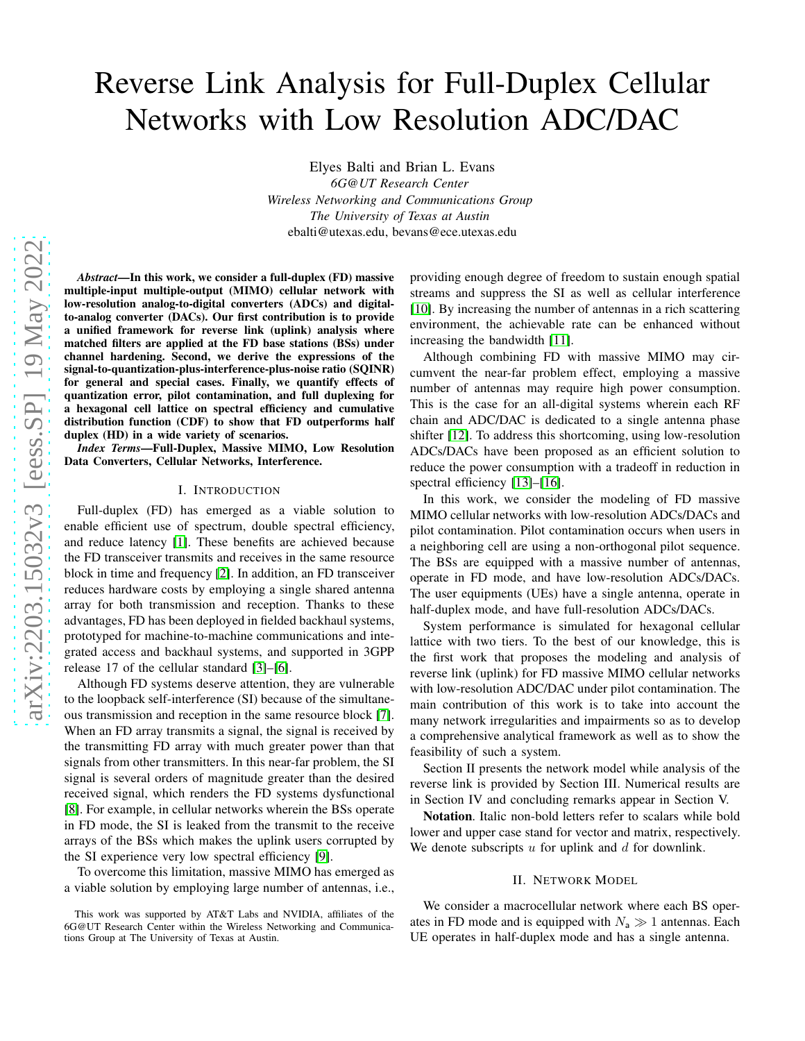# Reverse Link Analysis for Full-Duplex Cellular Networks with Low Resolution ADC/DAC

Elyes Balti and Brian L. Evans *6G@UT Research Center Wireless Networking and Communications Group The University of Texas at Austin* ebalti@utexas.edu, bevans@ece.utexas.edu

*Abstract*—In this work, we consider a full-duplex (FD) massive multiple-input multiple-output (MIMO) cellular network with low-resolution analog-to-digital converters (ADCs) and digitalto-analog converter (DACs). Our first contribution is to provide a unified framework for reverse link (uplink) analysis where matched filters are applied at the FD base stations (BSs) under channel hardening. Second, we derive the expressions of the signal-to-quantization-plus-interference-plus-noise ratio (SQINR) for general and special cases. Finally, we quantify effects of quantization error, pilot contamination, and full duplexing for a hexagonal cell lattice on spectral efficiency and cumulative distribution function (CDF) to show that FD outperforms half duplex (HD) in a wide variety of scenarios.

*Index Terms*—Full-Duplex, Massive MIMO, Low Resolution Data Converters, Cellular Networks, Interference.

# I. INTRODUCTION

Full-duplex (FD) has emerged as a viable solution to enable efficient use of spectrum, double spectral efficiency, and reduce latency [\[1\]](#page-4-0). These benefits are achieved because the FD transceiver transmits and receives in the same resource block in time and frequency [\[2\]](#page-4-1). In addition, an FD transceiver reduces hardware costs by employing a single shared antenna array for both transmission and reception. Thanks to these advantages, FD has been deployed in fielded backhaul systems, prototyped for machine-to-machine communications and integrated access and backhaul systems, and supported in 3GPP release 17 of the cellular standard [\[3\]](#page-4-2)–[\[6\]](#page-4-3).

Although FD systems deserve attention, they are vulnerable to the loopback self-interference (SI) because of the simultaneous transmission and reception in the same resource block [\[7\]](#page-4-4). When an FD array transmits a signal, the signal is received by the transmitting FD array with much greater power than that signals from other transmitters. In this near-far problem, the SI signal is several orders of magnitude greater than the desired received signal, which renders the FD systems dysfunctional [\[8\]](#page-4-5). For example, in cellular networks wherein the BSs operate in FD mode, the SI is leaked from the transmit to the receive arrays of the BSs which makes the uplink users corrupted by the SI experience very low spectral efficiency [\[9\]](#page-4-6).

To overcome this limitation, massive MIMO has emerged as a viable solution by employing large number of antennas, i.e.,

providing enough degree of freedom to sustain enough spatial streams and suppress the SI as well as cellular interference [\[10\]](#page-4-7). By increasing the number of antennas in a rich scattering environment, the achievable rate can be enhanced without increasing the bandwidth [\[11\]](#page-4-8).

Although combining FD with massive MIMO may circumvent the near-far problem effect, employing a massive number of antennas may require high power consumption. This is the case for an all-digital systems wherein each RF chain and ADC/DAC is dedicated to a single antenna phase shifter [\[12\]](#page-4-9). To address this shortcoming, using low-resolution ADCs/DACs have been proposed as an efficient solution to reduce the power consumption with a tradeoff in reduction in spectral efficiency [\[13\]](#page-4-10)–[\[16\]](#page-4-11).

In this work, we consider the modeling of FD massive MIMO cellular networks with low-resolution ADCs/DACs and pilot contamination. Pilot contamination occurs when users in a neighboring cell are using a non-orthogonal pilot sequence. The BSs are equipped with a massive number of antennas, operate in FD mode, and have low-resolution ADCs/DACs. The user equipments (UEs) have a single antenna, operate in half-duplex mode, and have full-resolution ADCs/DACs.

System performance is simulated for hexagonal cellular lattice with two tiers. To the best of our knowledge, this is the first work that proposes the modeling and analysis of reverse link (uplink) for FD massive MIMO cellular networks with low-resolution ADC/DAC under pilot contamination. The main contribution of this work is to take into account the many network irregularities and impairments so as to develop a comprehensive analytical framework as well as to show the feasibility of such a system.

Section II presents the network model while analysis of the reverse link is provided by Section III. Numerical results are in Section IV and concluding remarks appear in Section V.

Notation. Italic non-bold letters refer to scalars while bold lower and upper case stand for vector and matrix, respectively. We denote subscripts  $u$  for uplink and  $d$  for downlink.

#### II. NETWORK MODEL

We consider a macrocellular network where each BS operates in FD mode and is equipped with  $N_a \gg 1$  antennas. Each UE operates in half-duplex mode and has a single antenna.

This work was supported by AT&T Labs and NVIDIA, affiliates of the 6G@UT Research Center within the Wireless Networking and Communications Group at The University of Texas at Austin.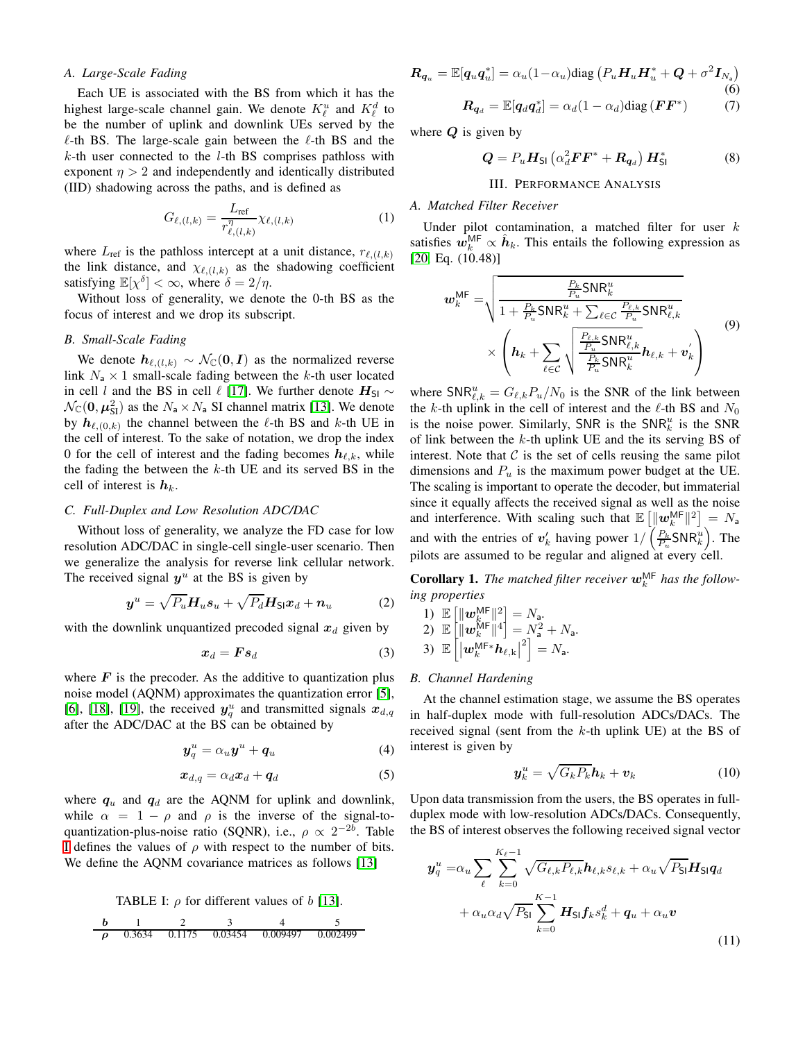## *A. Large-Scale Fading*

Each UE is associated with the BS from which it has the highest large-scale channel gain. We denote  $K^u_\ell$  and  $K^d_\ell$  to be the number of uplink and downlink UEs served by the  $\ell$ -th BS. The large-scale gain between the  $\ell$ -th BS and the  $k$ -th user connected to the *l*-th BS comprises pathloss with exponent  $\eta > 2$  and independently and identically distributed (IID) shadowing across the paths, and is defined as

$$
G_{\ell,(l,k)} = \frac{L_{\text{ref}}}{r_{\ell,(l,k)}^{\eta}} \chi_{\ell,(l,k)} \tag{1}
$$

where  $L_{ref}$  is the pathloss intercept at a unit distance,  $r_{\ell,(l,k)}$ the link distance, and  $\chi_{\ell,(l,k)}$  as the shadowing coefficient satisfying  $\mathbb{E}[\chi^{\delta}] < \infty$ , where  $\delta = 2/\eta$ .

Without loss of generality, we denote the 0-th BS as the focus of interest and we drop its subscript.

## *B. Small-Scale Fading*

We denote  $h_{\ell,(l,k)} \sim \mathcal{N}_{\mathbb{C}}(\mathbf{0}, \mathbf{I})$  as the normalized reverse link  $N_a \times 1$  small-scale fading between the k-th user located in cell l and the BS in cell  $\ell$  [\[17\]](#page-4-12). We further denote  $H_{SI} \sim$  $\mathcal{N}_{\mathbb{C}}(0, \mu_{\text{SI}}^2)$  as the  $N_a \times N_a$  SI channel matrix [\[13\]](#page-4-10). We denote by  $h_{\ell,(0,k)}$  the channel between the  $\ell$ -th BS and  $k$ -th UE in the cell of interest. To the sake of notation, we drop the index 0 for the cell of interest and the fading becomes  $h_{\ell,k}$ , while the fading the between the  $k$ -th UE and its served BS in the cell of interest is  $h_k$ .

## *C. Full-Duplex and Low Resolution ADC/DAC*

Without loss of generality, we analyze the FD case for low resolution ADC/DAC in single-cell single-user scenario. Then we generalize the analysis for reverse link cellular network. The received signal  $y^u$  at the BS is given by

$$
\boldsymbol{y}^u = \sqrt{P_u} \boldsymbol{H}_u \boldsymbol{s}_u + \sqrt{P_d} \boldsymbol{H}_{\mathsf{SI}} \boldsymbol{x}_d + \boldsymbol{n}_u \tag{2}
$$

with the downlink unquantized precoded signal  $x_d$  given by

$$
x_d = Fs_d \tag{3}
$$

where  $\bf{F}$  is the precoder. As the additive to quantization plus noise model (AQNM) approximates the quantization error [\[5\]](#page-4-13), [\[6\]](#page-4-3), [\[18\]](#page-4-14), [\[19\]](#page-4-15), the received  $y_q^u$  and transmitted signals  $x_{d,q}$ after the ADC/DAC at the BS can be obtained by

$$
\boldsymbol{y}_q^u = \alpha_u \boldsymbol{y}^u + \boldsymbol{q}_u \tag{4}
$$

$$
x_{d,q} = \alpha_d x_d + q_d \tag{5}
$$

where  $q_u$  and  $q_d$  are the AQNM for uplink and downlink, while  $\alpha = 1 - \rho$  and  $\rho$  is the inverse of the signal-toquantization-plus-noise ratio (SQNR), i.e.,  $\rho \propto 2^{-2b}$ . Table [I](#page-1-0) defines the values of  $\rho$  with respect to the number of bits. We define the AQNM covariance matrices as follows [\[13\]](#page-4-10)

<span id="page-1-0"></span>

$$
\begin{array}{ccccccccc}\n\textbf{b} & 1 & 2 & 3 & 4 & 5 \\
\hline\n\rho & 0.3634 & 0.1175 & 0.03454 & 0.009497 & 0.002499\n\end{array}
$$

$$
\boldsymbol{R}_{\boldsymbol{q}_u} = \mathbb{E}[\boldsymbol{q}_u \boldsymbol{q}_u^*] = \alpha_u (1 - \alpha_u) \text{diag} \left( P_u \boldsymbol{H}_u \boldsymbol{H}_u^* + \boldsymbol{Q} + \sigma^2 \boldsymbol{I}_{N_a} \right) \tag{6}
$$
\n
$$
\boldsymbol{R}_{-} = \mathbb{E}[\boldsymbol{q}_u \boldsymbol{q}_u^*] - \alpha_u (1 - \alpha_u) \text{diag} \left( \boldsymbol{F} \boldsymbol{F}^* \right) \tag{7}
$$

$$
\boldsymbol{R}_{\boldsymbol{q}_d} = \mathbb{E}[\boldsymbol{q}_d \boldsymbol{q}_d^*] = \alpha_d (1 - \alpha_d) \text{diag}(\boldsymbol{F} \boldsymbol{F}^*)
$$
(7)

where  $Q$  is given by

$$
\mathbf{Q} = P_u \mathbf{H}_{\mathsf{SI}} \left( \alpha_d^2 \mathbf{F} \mathbf{F}^* + \mathbf{R}_{\mathbf{q}_d} \right) \mathbf{H}_{\mathsf{SI}}^* \tag{8}
$$

## III. PERFORMANCE ANALYSIS

## *A. Matched Filter Receiver*

Under pilot contamination, a matched filter for user  $k$ satisfies  $\hat{w}_k^{\text{MF}} \propto \hat{h}_k$ . This entails the following expression as [\[20,](#page-4-16) Eq. (10.48)]

$$
\boldsymbol{w}_{k}^{\text{MF}} = \sqrt{\frac{\frac{P_{k}}{P_{u}}\text{SNR}_{k}^{u}}{1 + \frac{P_{k}}{P_{u}}\text{SNR}_{k}^{u} + \sum_{\ell \in \mathcal{C}} \frac{P_{\ell,k}}{P_{u}}\text{SNR}_{\ell,k}^{u}}}}{\times \left(\boldsymbol{h}_{k} + \sum_{\ell \in \mathcal{C}} \sqrt{\frac{\frac{P_{\ell,k}}{P_{u}}\text{SNR}_{\ell,k}^{u}}{\frac{P_{k}}{P_{u}}\text{SNR}_{k}^{u}}}\boldsymbol{h}_{\ell,k} + \boldsymbol{v}_{k}'}\right)
$$
(9)

where  $\text{SNR}_{\ell,k}^u = G_{\ell,k} P_u/N_0$  is the SNR of the link between the k-th uplink in the cell of interest and the  $\ell$ -th BS and  $N_0$ is the noise power. Similarly, SNR is the  $SNR_k^u$  is the SNR of link between the  $k$ -th uplink UE and the its serving BS of interest. Note that  $C$  is the set of cells reusing the same pilot dimensions and  $P_u$  is the maximum power budget at the UE. The scaling is important to operate the decoder, but immaterial since it equally affects the received signal as well as the noise and interference. With scaling such that  $\mathbb{E} \left[ \left\| \boldsymbol{w}_k^{\text{MF}} \right\|^2 \right] = N_a$ and with the entries of  $v'_k$  having power  $1/\left(\frac{P_k}{P_u}SNR_k^u\right)$ . The pilots are assumed to be regular and aligned at every cell.

<span id="page-1-1"></span>**Corollary 1.** The matched filter receiver  $w_k^{\text{MF}}$  has the follow*ing properties*

1) 
$$
\mathbb{E} \begin{bmatrix} \|\mathbf{w}_k^{\mathsf{MF}}\|^2 = N_{\mathsf{a}} \\ \|\mathbf{w}_k^{\mathsf{MF}}\|^4 = N_{\mathsf{a}}^2 + N_{\mathsf{a}} \\ 3) \mathbb{E} \begin{bmatrix} \|\mathbf{w}_k^{\mathsf{MF}}\|^4 \\ \|\mathbf{w}_k^{\mathsf{MF}*}\mathbf{h}_{\ell,k}\|^2 \end{bmatrix} = N_{\mathsf{a}}.
$$

#### *B. Channel Hardening*

At the channel estimation stage, we assume the BS operates in half-duplex mode with full-resolution ADCs/DACs. The received signal (sent from the  $k$ -th uplink UE) at the BS of interest is given by

$$
\boldsymbol{y}_{k}^{u} = \sqrt{G_{k}P_{k}}\boldsymbol{h}_{k} + \boldsymbol{v}_{k} \tag{10}
$$

Upon data transmission from the users, the BS operates in fullduplex mode with low-resolution ADCs/DACs. Consequently, the BS of interest observes the following received signal vector

$$
\mathbf{y}_q^u = \alpha_u \sum_{\ell} \sum_{k=0}^{K_{\ell}-1} \sqrt{G_{\ell,k} P_{\ell,k}} \mathbf{h}_{\ell,k} s_{\ell,k} + \alpha_u \sqrt{P_{\mathsf{SI}}} \mathbf{H}_{\mathsf{SI}} \mathbf{q}_d
$$

$$
+ \alpha_u \alpha_d \sqrt{P_{\mathsf{SI}}} \sum_{k=0}^{K-1} \mathbf{H}_{\mathsf{SI}} \mathbf{f}_k s_k^d + \mathbf{q}_u + \alpha_u \mathbf{v}
$$
(11)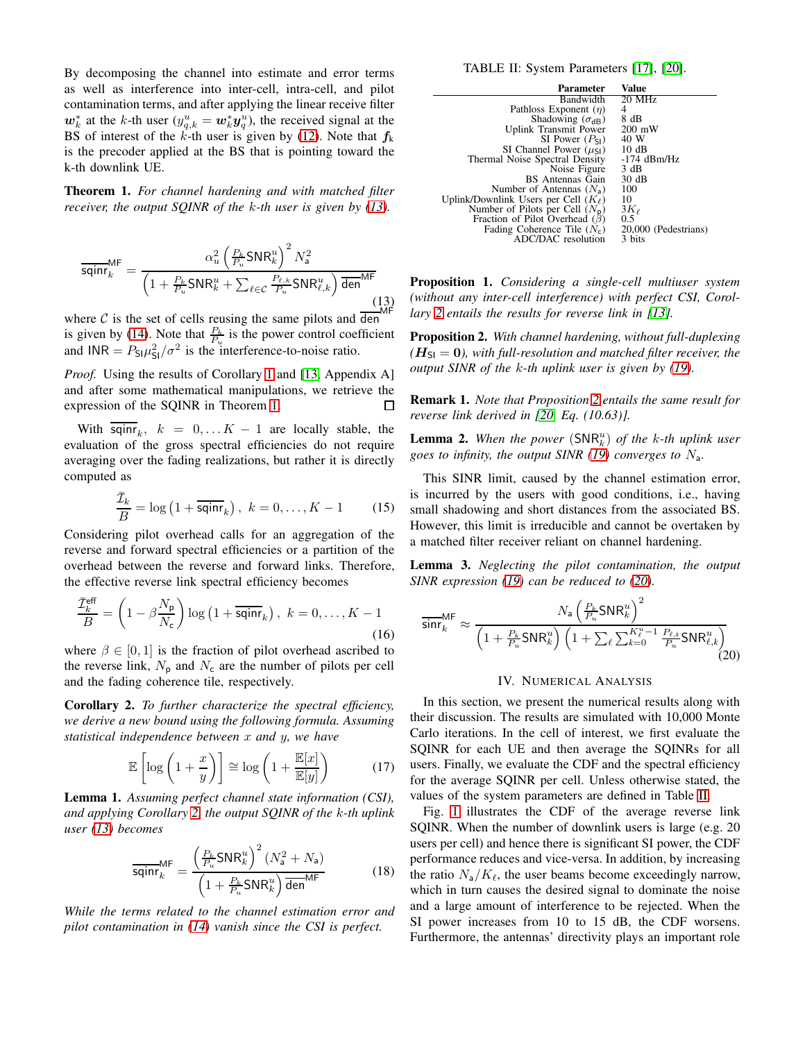By decomposing the channel into estimate and error terms as well as interference into inter-cell, intra-cell, and pilot contamination terms, and after applying the linear receive filter  $w_k^*$  at the k-th user  $(y_{q,k}^u = w_k^* y_q^u)$ , the received signal at the BS of interest of the k-th user is given by [\(12\)](#page-3-0). Note that  $f_k$ is the precoder applied at the BS that is pointing toward the k-th downlink UE.

<span id="page-2-1"></span>Theorem 1. *For channel hardening and with matched filter receiver, the output SQINR of the* k*-th user is given by [\(13\)](#page-2-0).*

<span id="page-2-0"></span>
$$
\overline{\text{sqinr}}_k^{\text{MF}} = \frac{\alpha_u^2 \left(\frac{P_k}{P_u} \text{SNR}_k^u\right)^2 N_a^2}{\left(1 + \frac{P_k}{P_u} \text{SNR}_k^u + \sum_{\ell \in \mathcal{C}} \frac{P_{\ell,k}}{P_u} \text{SNR}_{\ell,k}^u\right) \overline{\text{den}}^{\text{MF}}}
$$
\n(13)

where  $C$  is the set of cells reusing the same pilots and den is given by [\(14\)](#page-3-1). Note that  $\frac{P_k}{P_u}$  is the power control coefficient and  $INR = P_{SI} \mu_{SI}^2 / \sigma^2$  is the interference-to-noise ratio.

*Proof.* Using the results of Corollary [1](#page-1-1) and [\[13,](#page-4-10) Appendix A] and after some mathematical manipulations, we retrieve the expression of the SQINR in Theorem [1.](#page-2-1)  $\Box$ 

With  $\overline{\text{sqin}r}_k$ ,  $k = 0, \dots K - 1$  are locally stable, the evaluation of the gross spectral efficiencies do not require averaging over the fading realizations, but rather it is directly computed as

$$
\frac{\bar{\mathcal{I}}_k}{B} = \log\left(1 + \overline{\textsf{sqinr}}_k\right), \ k = 0, \dots, K - 1 \tag{15}
$$

Considering pilot overhead calls for an aggregation of the reverse and forward spectral efficiencies or a partition of the overhead between the reverse and forward links. Therefore, the effective reverse link spectral efficiency becomes

$$
\frac{\bar{\mathcal{I}}_k^{\text{eff}}}{B} = \left(1 - \beta \frac{N_{\text{p}}}{N_{\text{c}}}\right) \log \left(1 + \overline{\text{sqinr}}_k\right), \ k = 0, \dots, K - 1
$$
\n(16)

where  $\beta \in [0, 1]$  is the fraction of pilot overhead ascribed to the reverse link,  $N_{\rm p}$  and  $N_{\rm c}$  are the number of pilots per cell and the fading coherence tile, respectively.

<span id="page-2-2"></span>Corollary 2. *To further characterize the spectral efficiency, we derive a new bound using the following formula. Assuming statistical independence between* x *and* y*, we have*

$$
\mathbb{E}\left[\log\left(1+\frac{x}{y}\right)\right] \cong \log\left(1+\frac{\mathbb{E}[x]}{\mathbb{E}[y]}\right) \tag{17}
$$

<span id="page-2-6"></span>Lemma 1. *Assuming perfect channel state information (CSI), and applying Corollary [2,](#page-2-2) the output SQINR of the* k*-th uplink user [\(13\)](#page-2-0) becomes*

$$
\overline{\text{sqinr}}_k^{\text{MF}} = \frac{\left(\frac{P_k}{P_u}\text{SNR}_k^u\right)^2 (N_a^2 + N_a)}{\left(1 + \frac{P_k}{P_u}\text{SNR}_k^u\right)\overline{\text{den}}^{\text{MF}}}
$$
(18)

*While the terms related to the channel estimation error and pilot contamination in [\(14\)](#page-3-1) vanish since the CSI is perfect.*

TABLE II: System Parameters [\[17\]](#page-4-12), [\[20\]](#page-4-16).

<span id="page-2-5"></span>

| <b>Parameter</b>                          | Value                |
|-------------------------------------------|----------------------|
| Bandwidth                                 | 20 MHz               |
| Pathloss Exponent $(\eta)$                | 4                    |
| Shadowing $(\sigma_{dB})$                 | 8 dB                 |
| Uplink Transmit Power                     | $200 \text{ mW}$     |
| SI Power $(P_{SI})$                       | 40 W                 |
| SI Channel Power $(\mu_{\sf SI})$         | 10dB                 |
| Thermal Noise Spectral Density            | $-174$ dBm/Hz        |
| Noise Figure                              | 3 dB                 |
| BS Antennas Gain                          | 30 dB                |
| Number of Antennas $(N_a)$                | 100                  |
| Uplink/Downlink Users per Cell $(K_\ell)$ | 10                   |
| Number of Pilots per Cell $(N_p)$         | $3K_{\ell}$          |
| Fraction of Pilot Overhead $(\beta)$      | 0.5                  |
| Fading Coherence Tile $(N_c)$             | 20,000 (Pedestrians) |
| ADC/DAC resolution                        | 3 bits               |

Proposition 1. *Considering a single-cell multiuser system (without any inter-cell interference) with perfect CSI, Corollary [2](#page-2-2) entails the results for reverse link in [\[13\]](#page-4-10).*

<span id="page-2-3"></span>Proposition 2. *With channel hardening, without full-duplexing*  $(H<sub>SI</sub> = 0)$ , with full-resolution and matched filter receiver, the *output SINR of the* k*-th uplink user is given by [\(19\)](#page-3-2).*

Remark 1. *Note that Proposition [2](#page-2-3) entails the same result for reverse link derived in [\[20,](#page-4-16) Eq. (10.63)].*

**Lemma 2.** When the power  $(SNR_k^u)$  of the k-th uplink user *goes to infinity, the output SINR [\(19\)](#page-3-2) converges to* Na*.*

This SINR limit, caused by the channel estimation error, is incurred by the users with good conditions, i.e., having small shadowing and short distances from the associated BS. However, this limit is irreducible and cannot be overtaken by a matched filter receiver reliant on channel hardening.

Lemma 3. *Neglecting the pilot contamination, the output SINR expression [\(19\)](#page-3-2) can be reduced to [\(20\)](#page-2-4).*

<span id="page-2-4"></span>
$$
\overline{\text{sinr}}_k^{\text{MF}} \approx \frac{N_\text{a} \left(\frac{P_k}{P_u} \text{SNR}_k^u\right)^2}{\left(1 + \frac{P_k}{P_u} \text{SNR}_k^u\right) \left(1 + \sum_{\ell} \sum_{k=0}^{K_{\ell}^u - 1} \frac{P_{\ell,k}}{P_u} \text{SNR}_{\ell,k}^u\right)}
$$
(20)

# IV. NUMERICAL ANALYSIS

In this section, we present the numerical results along with their discussion. The results are simulated with 10,000 Monte Carlo iterations. In the cell of interest, we first evaluate the SQINR for each UE and then average the SQINRs for all users. Finally, we evaluate the CDF and the spectral efficiency for the average SQINR per cell. Unless otherwise stated, the values of the system parameters are defined in Table [II.](#page-2-5)

Fig. [1](#page-3-3) illustrates the CDF of the average reverse link SQINR. When the number of downlink users is large (e.g. 20 users per cell) and hence there is significant SI power, the CDF performance reduces and vice-versa. In addition, by increasing the ratio  $N_a/K_\ell$ , the user beams become exceedingly narrow, which in turn causes the desired signal to dominate the noise and a large amount of interference to be rejected. When the SI power increases from 10 to 15 dB, the CDF worsens. Furthermore, the antennas' directivity plays an important role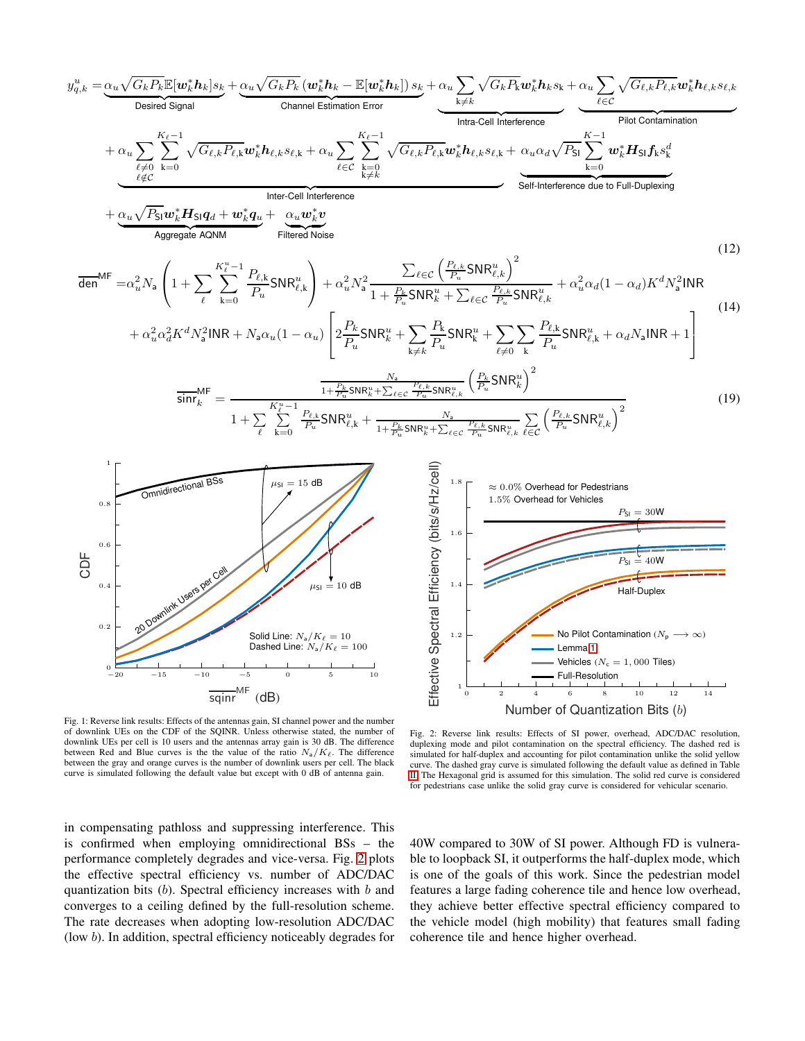<span id="page-3-0"></span>
$$
y_{q,k}^{u} = \underbrace{\alpha_{u}\sqrt{G_{k}P_{k}}\mathbb{E}[\omega_{k}^{*}h_{k}]s_{k}}_{\text{Desired Signal}} + \underbrace{\alpha_{u}\sqrt{G_{k}P_{k}}\omega_{k}^{*}h_{k}s_{k}}_{\text{Channel Estimation Error}} + \underbrace{\alpha_{u}\sum_{k\neq k}\sqrt{G_{k}P_{k}}\omega_{k}^{*}h_{k}s_{k}}_{\text{Intra-Cell interface}} + \underbrace{\alpha_{u}\sum_{\ell\neq 0}\sum_{k=0}^{K_{\ell}-1}\sqrt{G_{\ell,k}P_{\ell,k}}\omega_{k}^{*}h_{\ell,k}s_{\ell,k}}_{\ell\neq C} + \underbrace{\alpha_{u}\sum_{\ell\neq 0}\sum_{k=0}^{K_{\ell}-1}\sqrt{G_{\ell,k}P_{\ell,k}}\omega_{k}^{*}h_{\ell,k}s_{\ell,k}}_{\ell\neq C} + \underbrace{\alpha_{u}\sqrt{P_{S}}\omega_{k}^{*}H_{S}[\mathbf{g}_{d} + \mathbf{w}_{k}^{*}\mathbf{g}_{d} + \mathbf{w}_{k}^{*}\mathbf{g}_{d}}_{\text{Interfered Noise}} + \underbrace{\alpha_{u}\sqrt{P_{S}}\omega_{k}^{*}H_{S}[\mathbf{g}_{d} + \mathbf{w}_{k}^{*}\mathbf{g}_{d} + \mathbf{w}_{k}^{*}\mathbf{g}_{d} + \mathbf{w}_{k}^{*}\mathbf{g}_{d}}_{\text{Hiferferance}} + \underbrace{\alpha_{u}\sqrt{P_{S}}\omega_{k}^{*}H_{S}[\mathbf{g}_{d} + \mathbf{w}_{k}^{*}\mathbf{g}_{d} + \mathbf{w}_{k}^{*}\mathbf{g}_{d} + \mathbf{w}_{k}^{*}\mathbf{g}_{d}}_{\text{Hinterferance surface}} + \underbrace{\alpha_{u}\sqrt{P_{S}}\omega_{k}^{*}H_{S}[\mathbf{g}_{d} + \mathbf{w}_{k}^{*}\mathbf{g}_{d} + \mathbf{w}_{k}^{*}\mathbf{g}_{d} + \mathbf{w}_{k}^{*}\mathbf{g}_{d} + \mathbf{w}_{k}^{*}\mathbf{g}_{d}}_{\text{Hiferderace}} + \underbrace{\alpha_{u}\sqrt{P_{S}}\omega_{k}^{*}H_{S}[\mathbf{g}_{d} + \mathbf{w}_{k}^{*}\mathbf{g}_{
$$

<span id="page-3-3"></span><span id="page-3-2"></span><span id="page-3-1"></span>

<span id="page-3-4"></span>Effective Spectral Efficiency (bits/s/Hz/cell) Effective Spectral Efficiency (bits/s/Hz/cell) 1.8 ≈ 0.0% Overhead for Pedestrians 1.5% Overhead for Vehicles  $P_{SI} = 30W$ 1.6  $P_{SI} = 40W$ 1.4 Half-Duplex No Pilot Contamination  $(N_p)$ 1.2 Lemma [1](#page-2-6) Vehicles ( $N_c = 1,000$  Tiles) Full-Resolution 1 0 2 4 6 8 10 12 14 Number of Quantization Bits (b)

Fig. 1: Reverse link results: Effects of the antennas gain, SI channel power and the number of downlink UEs on the CDF of the SQINR. Unless otherwise stated, the number of downlink UEs per cell is 10 users and the antennas array gain is 30 dB. The difference between Red and Blue curves is the the value of the ratio  $N_a/K_\ell$ . The difference between the gray and orange curves is the number of downlink users per cell. The black curve is simulated following the default value but except with 0 dB of antenna gain.

Fig. 2: Reverse link results: Effects of SI power, overhead, ADC/DAC resolution, duplexing mode and pilot contamination on the spectral efficiency. The dashed red is simulated for half-duplex and accounting for pilot contamination unlike the solid yellow curve. The dashed gray curve is simulated following the default value as defined in Table [II.](#page-2-5) The Hexagonal grid is assumed for this simulation. The solid red curve is considered for pedestrians case unlike the solid gray curve is considered for vehicular scenario.

in compensating pathloss and suppressing interference. This is confirmed when employing omnidirectional BSs – the performance completely degrades and vice-versa. Fig. [2](#page-3-4) plots the effective spectral efficiency vs. number of ADC/DAC quantization bits  $(b)$ . Spectral efficiency increases with  $b$  and converges to a ceiling defined by the full-resolution scheme. The rate decreases when adopting low-resolution ADC/DAC (low b). In addition, spectral efficiency noticeably degrades for

40W compared to 30W of SI power. Although FD is vulnerable to loopback SI, it outperforms the half-duplex mode, which is one of the goals of this work. Since the pedestrian model features a large fading coherence tile and hence low overhead, they achieve better effective spectral efficiency compared to the vehicle model (high mobility) that features small fading coherence tile and hence higher overhead.